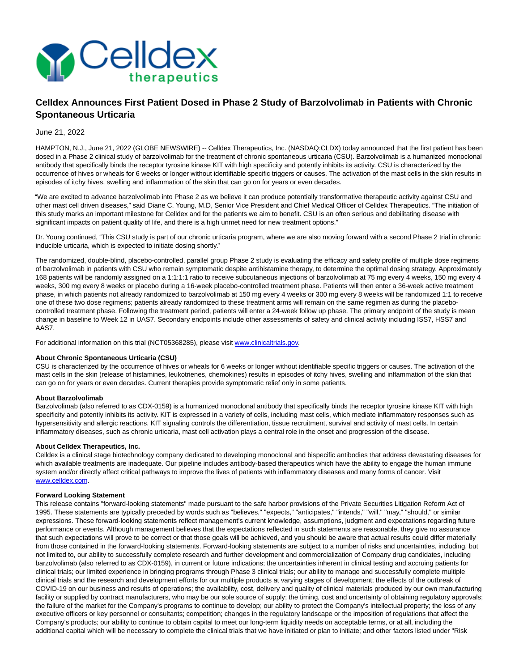

# **Celldex Announces First Patient Dosed in Phase 2 Study of Barzolvolimab in Patients with Chronic Spontaneous Urticaria**

## June 21, 2022

HAMPTON, N.J., June 21, 2022 (GLOBE NEWSWIRE) -- Celldex Therapeutics, Inc. (NASDAQ:CLDX) today announced that the first patient has been dosed in a Phase 2 clinical study of barzolvolimab for the treatment of chronic spontaneous urticaria (CSU). Barzolvolimab is a humanized monoclonal antibody that specifically binds the receptor tyrosine kinase KIT with high specificity and potently inhibits its activity. CSU is characterized by the occurrence of hives or wheals for 6 weeks or longer without identifiable specific triggers or causes. The activation of the mast cells in the skin results in episodes of itchy hives, swelling and inflammation of the skin that can go on for years or even decades.

"We are excited to advance barzolvolimab into Phase 2 as we believe it can produce potentially transformative therapeutic activity against CSU and other mast cell driven diseases," said Diane C. Young, M.D, Senior Vice President and Chief Medical Officer of Celldex Therapeutics. "The initiation of this study marks an important milestone for Celldex and for the patients we aim to benefit. CSU is an often serious and debilitating disease with significant impacts on patient quality of life, and there is a high unmet need for new treatment options."

Dr. Young continued, "This CSU study is part of our chronic urticaria program, where we are also moving forward with a second Phase 2 trial in chronic inducible urticaria, which is expected to initiate dosing shortly."

The randomized, double-blind, placebo-controlled, parallel group Phase 2 study is evaluating the efficacy and safety profile of multiple dose regimens of barzolvolimab in patients with CSU who remain symptomatic despite antihistamine therapy, to determine the optimal dosing strategy. Approximately 168 patients will be randomly assigned on a 1:1:1:1 ratio to receive subcutaneous injections of barzolvolimab at 75 mg every 4 weeks, 150 mg every 4 weeks, 300 mg every 8 weeks or placebo during a 16-week placebo-controlled treatment phase. Patients will then enter a 36-week active treatment phase, in which patients not already randomized to barzolvolimab at 150 mg every 4 weeks or 300 mg every 8 weeks will be randomized 1:1 to receive one of these two dose regimens; patients already randomized to these treatment arms will remain on the same regimen as during the placebocontrolled treatment phase. Following the treatment period, patients will enter a 24-week follow up phase. The primary endpoint of the study is mean change in baseline to Week 12 in UAS7. Secondary endpoints include other assessments of safety and clinical activity including ISS7, HSS7 and AAS7.

For additional information on this trial (NCT05368285), please visi[t www.clinicaltrials.gov.](https://www.globenewswire.com/Tracker?data=N9ife8yRyZIdhGtEr6Ar3Q1qAUAKoBqFZVvFasVHrkvlEkFprj341cBTs8QTz2wjQbuQEhiMFgo-SvBWhSlEyywRsb3vkxsKWci_b_qn1lk=)

## **About Chronic Spontaneous Urticaria (CSU)**

CSU is characterized by the occurrence of hives or wheals for 6 weeks or longer without identifiable specific triggers or causes. The activation of the mast cells in the skin (release of histamines, leukotrienes, chemokines) results in episodes of itchy hives, swelling and inflammation of the skin that can go on for years or even decades. Current therapies provide symptomatic relief only in some patients.

## **About Barzolvolimab**

Barzolvolimab (also referred to as CDX-0159) is a humanized monoclonal antibody that specifically binds the receptor tyrosine kinase KIT with high specificity and potently inhibits its activity. KIT is expressed in a variety of cells, including mast cells, which mediate inflammatory responses such as hypersensitivity and allergic reactions. KIT signaling controls the differentiation, tissue recruitment, survival and activity of mast cells. In certain inflammatory diseases, such as chronic urticaria, mast cell activation plays a central role in the onset and progression of the disease.

#### **About Celldex Therapeutics, Inc.**

Celldex is a clinical stage biotechnology company dedicated to developing monoclonal and bispecific antibodies that address devastating diseases for which available treatments are inadequate. Our pipeline includes antibody-based therapeutics which have the ability to engage the human immune system and/or directly affect critical pathways to improve the lives of patients with inflammatory diseases and many forms of cancer. Visit [www.celldex.com.](https://www.globenewswire.com/Tracker?data=lQ1AsQUfEiDJO1er04afI0BFeBtWti6z-Ozx4uHA73rHqb0mpLLlV0KVWI9StPiBkV42fyogdrh5ttZxIYkduQ==)

#### **Forward Looking Statement**

This release contains "forward-looking statements" made pursuant to the safe harbor provisions of the Private Securities Litigation Reform Act of 1995. These statements are typically preceded by words such as "believes," "expects," "anticipates," "intends," "will," "may," "should," or similar expressions. These forward-looking statements reflect management's current knowledge, assumptions, judgment and expectations regarding future performance or events. Although management believes that the expectations reflected in such statements are reasonable, they give no assurance that such expectations will prove to be correct or that those goals will be achieved, and you should be aware that actual results could differ materially from those contained in the forward-looking statements. Forward-looking statements are subject to a number of risks and uncertainties, including, but not limited to, our ability to successfully complete research and further development and commercialization of Company drug candidates, including barzolvolimab (also referred to as CDX-0159), in current or future indications; the uncertainties inherent in clinical testing and accruing patients for clinical trials; our limited experience in bringing programs through Phase 3 clinical trials; our ability to manage and successfully complete multiple clinical trials and the research and development efforts for our multiple products at varying stages of development; the effects of the outbreak of COVID-19 on our business and results of operations; the availability, cost, delivery and quality of clinical materials produced by our own manufacturing facility or supplied by contract manufacturers, who may be our sole source of supply; the timing, cost and uncertainty of obtaining regulatory approvals; the failure of the market for the Company's programs to continue to develop; our ability to protect the Company's intellectual property; the loss of any executive officers or key personnel or consultants; competition; changes in the regulatory landscape or the imposition of regulations that affect the Company's products; our ability to continue to obtain capital to meet our long-term liquidity needs on acceptable terms, or at all, including the additional capital which will be necessary to complete the clinical trials that we have initiated or plan to initiate; and other factors listed under "Risk